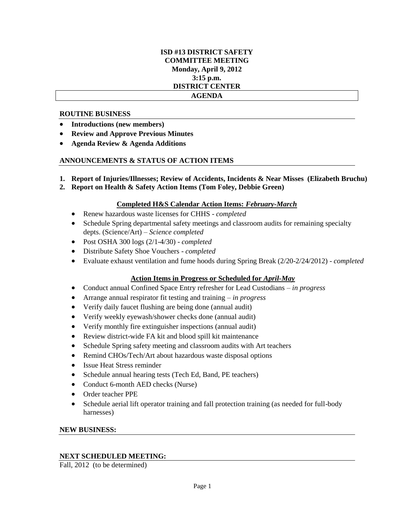# **ISD #13 DISTRICT SAFETY COMMITTEE MEETING Monday, April 9, 2012 3:15 p.m. DISTRICT CENTER AGENDA**

### **ROUTINE BUSINESS**

- **Introductions (new members)**
- **Review and Approve Previous Minutes**
- **Agenda Review & Agenda Additions**

## **ANNOUNCEMENTS & STATUS OF ACTION ITEMS**

- **1. Report of Injuries/Illnesses; Review of Accidents, Incidents & Near Misses (Elizabeth Bruchu)**
- **2. Report on Health & Safety Action Items (Tom Foley, Debbie Green)**

### **Completed H&S Calendar Action Items:** *February-March*

- Renew hazardous waste licenses for CHHS *completed*
- Schedule Spring departmental safety meetings and classroom audits for remaining specialty depts. (Science/Art) – *Science completed*
- Post OSHA 300 logs (2/1-4/30) *completed*
- Distribute Safety Shoe Vouchers *completed*
- Evaluate exhaust ventilation and fume hoods during Spring Break (2/20-2/24/2012) *completed*

## **Action Items in Progress or Scheduled for** *April-May*

- Conduct annual Confined Space Entry refresher for Lead Custodians *in progress*
- Arrange annual respirator fit testing and training *in progress*
- Verify daily faucet flushing are being done (annual audit)
- Verify weekly eyewash/shower checks done (annual audit)
- Verify monthly fire extinguisher inspections (annual audit)
- Review district-wide FA kit and blood spill kit maintenance
- Schedule Spring safety meeting and classroom audits with Art teachers
- Remind CHOs/Tech/Art about hazardous waste disposal options
- Issue Heat Stress reminder
- Schedule annual hearing tests (Tech Ed, Band, PE teachers)
- Conduct 6-month AED checks (Nurse)
- Order teacher PPE
- Schedule aerial lift operator training and fall protection training (as needed for full-body harnesses)

#### **NEW BUSINESS:**

## **NEXT SCHEDULED MEETING:**

Fall, 2012 (to be determined)